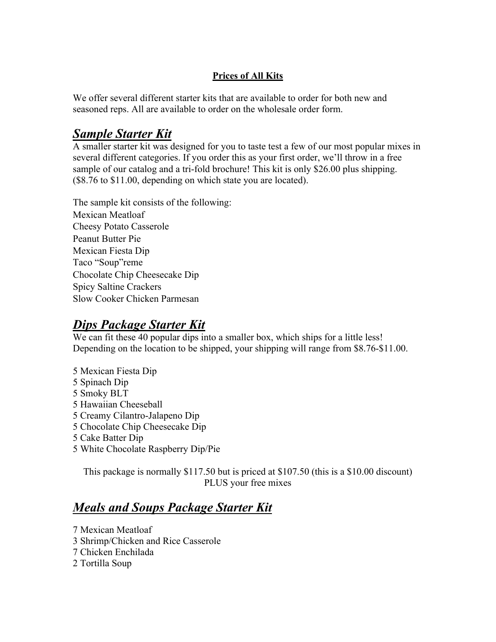## **Prices of All Kits**

We offer several different starter kits that are available to order for both new and seasoned reps. All are available to order on the wholesale order form.

# *Sample Starter Kit*

A smaller starter kit was designed for you to taste test a few of our most popular mixes in several different categories. If you order this as your first order, we'll throw in a free sample of our catalog and a tri-fold brochure! This kit is only \$26.00 plus shipping. (\$8.76 to \$11.00, depending on which state you are located).

The sample kit consists of the following: Mexican Meatloaf Cheesy Potato Casserole Peanut Butter Pie Mexican Fiesta Dip Taco "Soup"reme Chocolate Chip Cheesecake Dip Spicy Saltine Crackers Slow Cooker Chicken Parmesan

# *Dips Package Starter Kit*

We can fit these 40 popular dips into a smaller box, which ships for a little less! Depending on the location to be shipped, your shipping will range from \$8.76-\$11.00.

- 5 Mexican Fiesta Dip
- 5 Spinach Dip
- 5 Smoky BLT
- 5 Hawaiian Cheeseball
- 5 Creamy Cilantro-Jalapeno Dip
- 5 Chocolate Chip Cheesecake Dip
- 5 Cake Batter Dip
- 5 White Chocolate Raspberry Dip/Pie

This package is normally \$117.50 but is priced at \$107.50 (this is a \$10.00 discount) PLUS your free mixes

# *Meals and Soups Package Starter Kit*

7 Mexican Meatloaf 3 Shrimp/Chicken and Rice Casserole 7 Chicken Enchilada 2 Tortilla Soup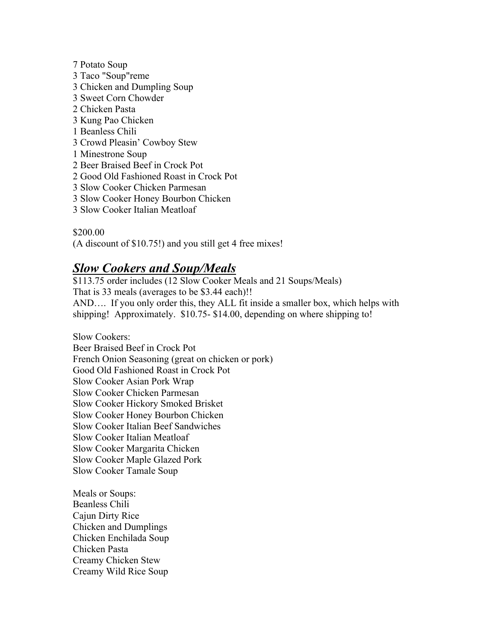7 Potato Soup 3 Taco "Soup"reme 3 Chicken and Dumpling Soup 3 Sweet Corn Chowder 2 Chicken Pasta 3 Kung Pao Chicken 1 Beanless Chili 3 Crowd Pleasin' Cowboy Stew 1 Minestrone Soup 2 Beer Braised Beef in Crock Pot 2 Good Old Fashioned Roast in Crock Pot 3 Slow Cooker Chicken Parmesan 3 Slow Cooker Honey Bourbon Chicken 3 Slow Cooker Italian Meatloaf

## \$200.00

(A discount of \$10.75!) and you still get 4 free mixes!

# *Slow Cookers and Soup/Meals*

\$113.75 order includes (12 Slow Cooker Meals and 21 Soups/Meals) That is 33 meals (averages to be \$3.44 each)!! AND…. If you only order this, they ALL fit inside a smaller box, which helps with shipping! Approximately. \$10.75- \$14.00, depending on where shipping to!

Slow Cookers: Beer Braised Beef in Crock Pot French Onion Seasoning (great on chicken or pork) Good Old Fashioned Roast in Crock Pot Slow Cooker Asian Pork Wrap Slow Cooker Chicken Parmesan Slow Cooker Hickory Smoked Brisket Slow Cooker Honey Bourbon Chicken Slow Cooker Italian Beef Sandwiches Slow Cooker Italian Meatloaf Slow Cooker Margarita Chicken Slow Cooker Maple Glazed Pork Slow Cooker Tamale Soup

Meals or Soups: Beanless Chili Cajun Dirty Rice Chicken and Dumplings Chicken Enchilada Soup Chicken Pasta Creamy Chicken Stew Creamy Wild Rice Soup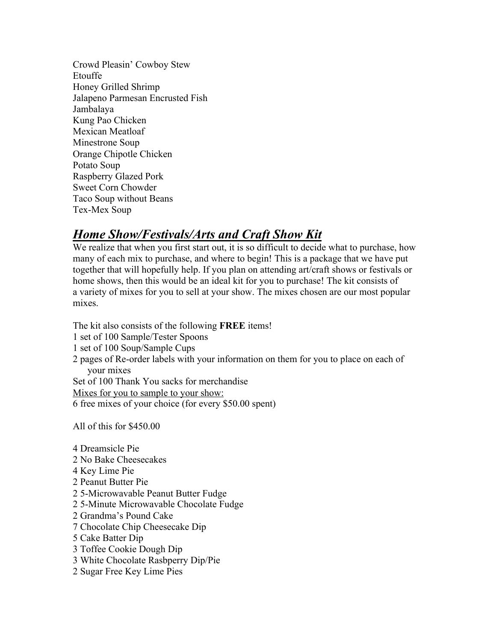Crowd Pleasin' Cowboy Stew Etouffe Honey Grilled Shrimp Jalapeno Parmesan Encrusted Fish Jambalaya Kung Pao Chicken Mexican Meatloaf Minestrone Soup Orange Chipotle Chicken Potato Soup Raspberry Glazed Pork Sweet Corn Chowder Taco Soup without Beans Tex-Mex Soup

# *Home Show/Festivals/Arts and Craft Show Kit*

We realize that when you first start out, it is so difficult to decide what to purchase, how many of each mix to purchase, and where to begin! This is a package that we have put together that will hopefully help. If you plan on attending art/craft shows or festivals or home shows, then this would be an ideal kit for you to purchase! The kit consists of a variety of mixes for you to sell at your show. The mixes chosen are our most popular mixes.

The kit also consists of the following **FREE** items! 1 set of 100 Sample/Tester Spoons 1 set of 100 Soup/Sample Cups 2 pages of Re-order labels with your information on them for you to place on each of your mixes Set of 100 Thank You sacks for merchandise Mixes for you to sample to your show: 6 free mixes of your choice (for every \$50.00 spent)

All of this for \$450.00

- 4 Dreamsicle Pie
- 2 No Bake Cheesecakes
- 4 Key Lime Pie
- 2 Peanut Butter Pie
- 2 5-Microwavable Peanut Butter Fudge
- 2 5-Minute Microwavable Chocolate Fudge
- 2 Grandma's Pound Cake
- 7 Chocolate Chip Cheesecake Dip
- 5 Cake Batter Dip
- 3 Toffee Cookie Dough Dip
- 3 White Chocolate Rasbperry Dip/Pie
- 2 Sugar Free Key Lime Pies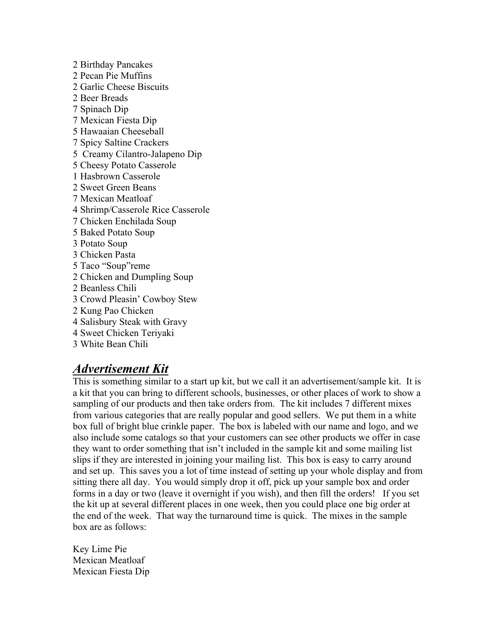2 Birthday Pancakes 2 Pecan Pie Muffins 2 Garlic Cheese Biscuits 2 Beer Breads 7 Spinach Dip 7 Mexican Fiesta Dip 5 Hawaaian Cheeseball 7 Spicy Saltine Crackers 5 Creamy Cilantro-Jalapeno Dip 5 Cheesy Potato Casserole 1 Hasbrown Casserole 2 Sweet Green Beans 7 Mexican Meatloaf 4 Shrimp/Casserole Rice Casserole 7 Chicken Enchilada Soup 5 Baked Potato Soup 3 Potato Soup 3 Chicken Pasta 5 Taco "Soup"reme 2 Chicken and Dumpling Soup 2 Beanless Chili 3 Crowd Pleasin' Cowboy Stew 2 Kung Pao Chicken 4 Salisbury Steak with Gravy 4 Sweet Chicken Teriyaki 3 White Bean Chili

# *Advertisement Kit*

This is something similar to a start up kit, but we call it an advertisement/sample kit. It is a kit that you can bring to different schools, businesses, or other places of work to show a sampling of our products and then take orders from. The kit includes 7 different mixes from various categories that are really popular and good sellers. We put them in a white box full of bright blue crinkle paper. The box is labeled with our name and logo, and we also include some catalogs so that your customers can see other products we offer in case they want to order something that isn't included in the sample kit and some mailing list slips if they are interested in joining your mailing list. This box is easy to carry around and set up. This saves you a lot of time instead of setting up your whole display and from sitting there all day. You would simply drop it off, pick up your sample box and order forms in a day or two (leave it overnight if you wish), and then fill the orders! If you set the kit up at several different places in one week, then you could place one big order at the end of the week. That way the turnaround time is quick. The mixes in the sample box are as follows:

Key Lime Pie Mexican Meatloaf Mexican Fiesta Dip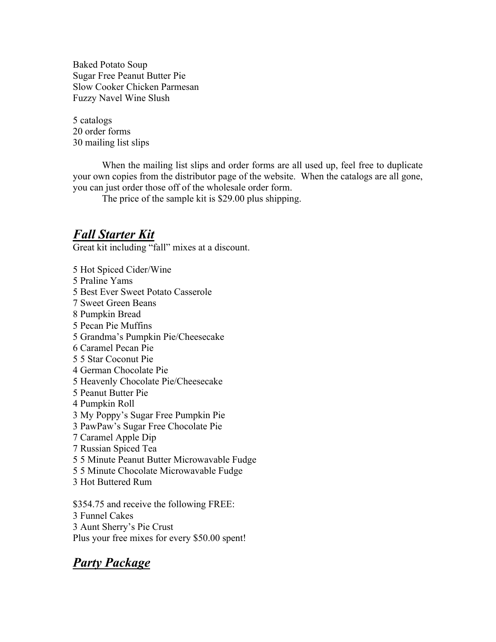Baked Potato Soup Sugar Free Peanut Butter Pie Slow Cooker Chicken Parmesan Fuzzy Navel Wine Slush

5 catalogs 20 order forms 30 mailing list slips

When the mailing list slips and order forms are all used up, feel free to duplicate your own copies from the distributor page of the website. When the catalogs are all gone, you can just order those off of the wholesale order form.

The price of the sample kit is \$29.00 plus shipping.

# *Fall Starter Kit*

Great kit including "fall" mixes at a discount.

5 Hot Spiced Cider/Wine 5 Praline Yams 5 Best Ever Sweet Potato Casserole 7 Sweet Green Beans 8 Pumpkin Bread 5 Pecan Pie Muffins 5 Grandma's Pumpkin Pie/Cheesecake 6 Caramel Pecan Pie 5 5 Star Coconut Pie 4 German Chocolate Pie 5 Heavenly Chocolate Pie/Cheesecake 5 Peanut Butter Pie 4 Pumpkin Roll 3 My Poppy's Sugar Free Pumpkin Pie 3 PawPaw's Sugar Free Chocolate Pie 7 Caramel Apple Dip 7 Russian Spiced Tea 5 5 Minute Peanut Butter Microwavable Fudge 5 5 Minute Chocolate Microwavable Fudge 3 Hot Buttered Rum

\$354.75 and receive the following FREE: 3 Funnel Cakes 3 Aunt Sherry's Pie Crust Plus your free mixes for every \$50.00 spent!

# *Party Package*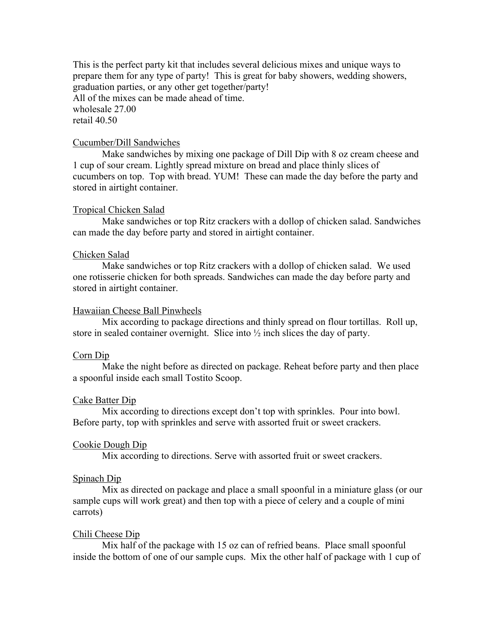This is the perfect party kit that includes several delicious mixes and unique ways to prepare them for any type of party! This is great for baby showers, wedding showers, graduation parties, or any other get together/party! All of the mixes can be made ahead of time. wholesale 27.00 retail 40.50

## Cucumber/Dill Sandwiches

Make sandwiches by mixing one package of Dill Dip with 8 oz cream cheese and 1 cup of sour cream. Lightly spread mixture on bread and place thinly slices of cucumbers on top. Top with bread. YUM! These can made the day before the party and stored in airtight container.

### Tropical Chicken Salad

Make sandwiches or top Ritz crackers with a dollop of chicken salad. Sandwiches can made the day before party and stored in airtight container.

### Chicken Salad

Make sandwiches or top Ritz crackers with a dollop of chicken salad. We used one rotisserie chicken for both spreads. Sandwiches can made the day before party and stored in airtight container.

### Hawaiian Cheese Ball Pinwheels

Mix according to package directions and thinly spread on flour tortillas. Roll up, store in sealed container overnight. Slice into ½ inch slices the day of party.

### Corn Dip

Make the night before as directed on package. Reheat before party and then place a spoonful inside each small Tostito Scoop.

### Cake Batter Dip

Mix according to directions except don't top with sprinkles. Pour into bowl. Before party, top with sprinkles and serve with assorted fruit or sweet crackers.

### Cookie Dough Dip

Mix according to directions. Serve with assorted fruit or sweet crackers.

#### Spinach Dip

Mix as directed on package and place a small spoonful in a miniature glass (or our sample cups will work great) and then top with a piece of celery and a couple of mini carrots)

### Chili Cheese Dip

Mix half of the package with 15 oz can of refried beans. Place small spoonful inside the bottom of one of our sample cups. Mix the other half of package with 1 cup of